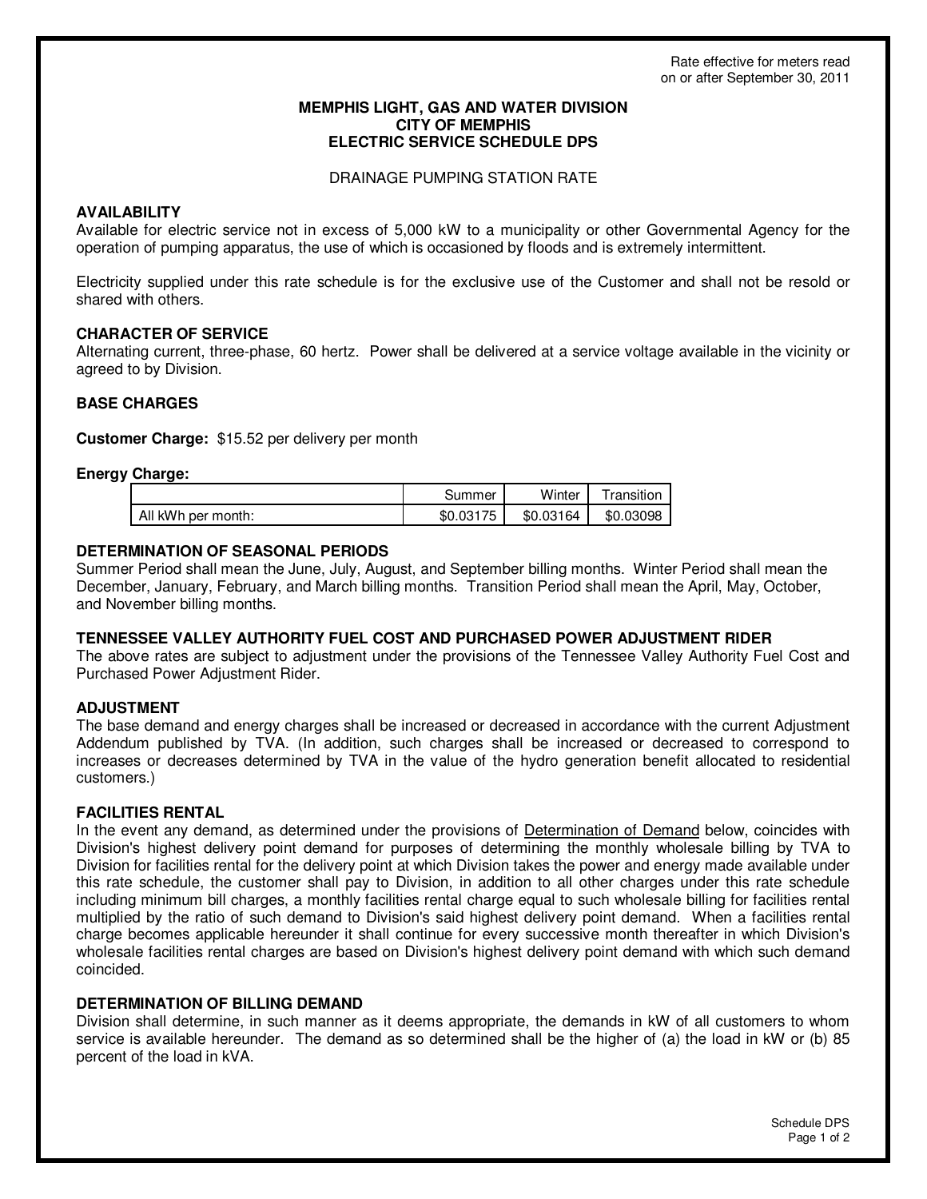## **MEMPHIS LIGHT, GAS AND WATER DIVISION CITY OF MEMPHIS ELECTRIC SERVICE SCHEDULE DPS**

## DRAINAGE PUMPING STATION RATE

# **AVAILABILITY**

Available for electric service not in excess of 5,000 kW to a municipality or other Governmental Agency for the operation of pumping apparatus, the use of which is occasioned by floods and is extremely intermittent.

Electricity supplied under this rate schedule is for the exclusive use of the Customer and shall not be resold or shared with others.

# **CHARACTER OF SERVICE**

Alternating current, three-phase, 60 hertz. Power shall be delivered at a service voltage available in the vicinity or agreed to by Division.

# **BASE CHARGES**

**Customer Charge:** \$15.52 per delivery per month

# **Energy Charge:**

|                    | Summer  | Winter | ˈransıtıon |
|--------------------|---------|--------|------------|
| All kWh per month: | 75      | .03164 | 03098      |
|                    | \$0.031 | \$0    | \$0        |

# **DETERMINATION OF SEASONAL PERIODS**

Summer Period shall mean the June, July, August, and September billing months. Winter Period shall mean the December, January, February, and March billing months. Transition Period shall mean the April, May, October, and November billing months.

## **TENNESSEE VALLEY AUTHORITY FUEL COST AND PURCHASED POWER ADJUSTMENT RIDER**

The above rates are subject to adjustment under the provisions of the Tennessee Valley Authority Fuel Cost and Purchased Power Adjustment Rider.

# **ADJUSTMENT**

The base demand and energy charges shall be increased or decreased in accordance with the current Adjustment Addendum published by TVA. (In addition, such charges shall be increased or decreased to correspond to increases or decreases determined by TVA in the value of the hydro generation benefit allocated to residential customers.)

## **FACILITIES RENTAL**

In the event any demand, as determined under the provisions of Determination of Demand below, coincides with Division's highest delivery point demand for purposes of determining the monthly wholesale billing by TVA to Division for facilities rental for the delivery point at which Division takes the power and energy made available under this rate schedule, the customer shall pay to Division, in addition to all other charges under this rate schedule including minimum bill charges, a monthly facilities rental charge equal to such wholesale billing for facilities rental multiplied by the ratio of such demand to Division's said highest delivery point demand. When a facilities rental charge becomes applicable hereunder it shall continue for every successive month thereafter in which Division's wholesale facilities rental charges are based on Division's highest delivery point demand with which such demand coincided.

## **DETERMINATION OF BILLING DEMAND**

Division shall determine, in such manner as it deems appropriate, the demands in kW of all customers to whom service is available hereunder. The demand as so determined shall be the higher of (a) the load in kW or (b) 85 percent of the load in kVA.